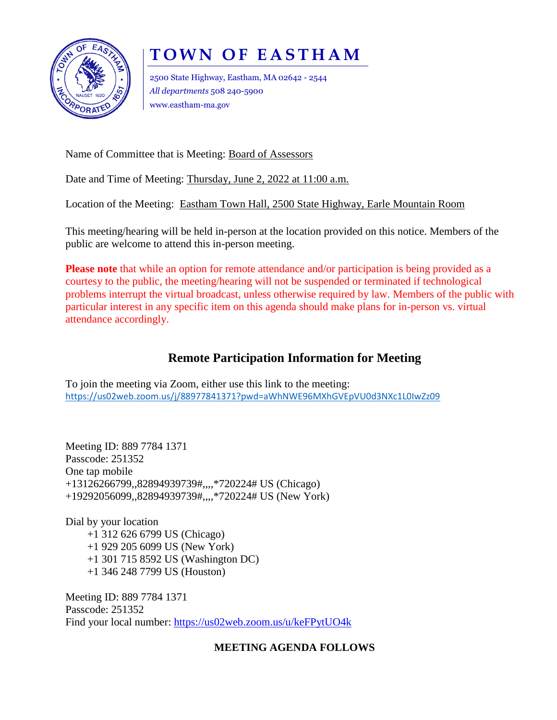

# **TOWN OF EASTHAM**

2500 State Highway, Eastham, MA 02642 - 2544 *All departments* 508 240-5900 www.eastham-ma.gov

Name of Committee that is Meeting: Board of Assessors

Date and Time of Meeting: Thursday, June 2, 2022 at 11:00 a.m.

Location of the Meeting: Eastham Town Hall, 2500 State Highway, Earle Mountain Room

This meeting/hearing will be held in-person at the location provided on this notice. Members of the public are welcome to attend this in-person meeting.

**Please note** that while an option for remote attendance and/or participation is being provided as a courtesy to the public, the meeting/hearing will not be suspended or terminated if technological problems interrupt the virtual broadcast, unless otherwise required by law. Members of the public with particular interest in any specific item on this agenda should make plans for in-person vs. virtual attendance accordingly.

## **Remote Participation Information for Meeting**

To join the meeting via Zoom, either use this link to the meeting: <https://us02web.zoom.us/j/88977841371?pwd=aWhNWE96MXhGVEpVU0d3NXc1L0IwZz09>

Meeting ID: 889 7784 1371 Passcode: 251352 One tap mobile +13126266799,,82894939739#,,,,\*720224# US (Chicago) +19292056099,,82894939739#,,,,\*720224# US (New York)

Dial by your location +1 312 626 6799 US (Chicago) +1 929 205 6099 US (New York) +1 301 715 8592 US (Washington DC) +1 346 248 7799 US (Houston)

Meeting ID: 889 7784 1371 Passcode: 251352 Find your local number:<https://us02web.zoom.us/u/keFPytUO4k>

### **MEETING AGENDA FOLLOWS**